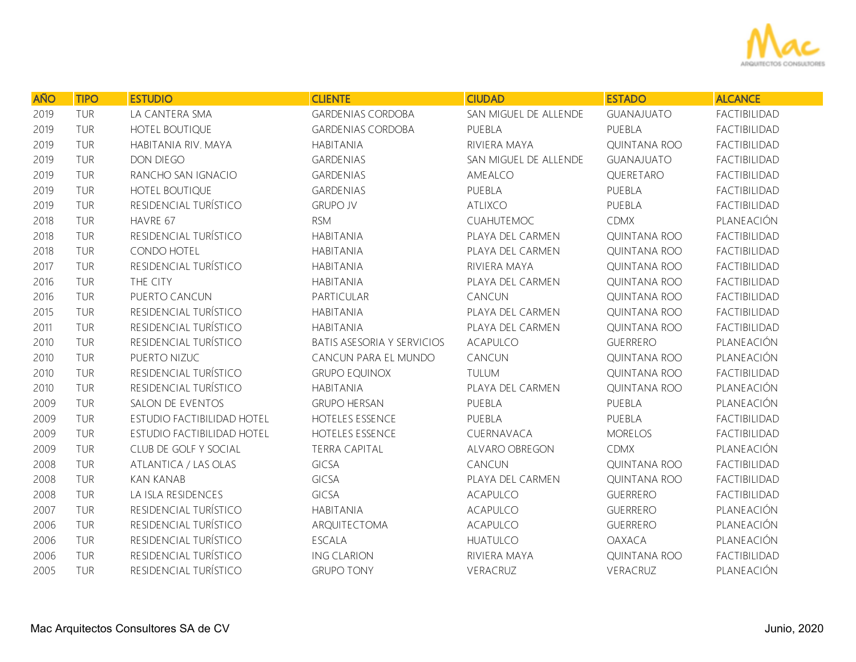

| <b>AÑO</b> | <b>TIPO</b> | <b>ESTUDIO</b>             | <b>CLIENTE</b>                    | <b>CIUDAD</b>         | <b>ESTADO</b>       | <b>ALCANCE</b>      |
|------------|-------------|----------------------------|-----------------------------------|-----------------------|---------------------|---------------------|
| 2019       | TUR         | LA CANTERA SMA             | <b>GARDENIAS CORDOBA</b>          | SAN MIGUEL DE ALLENDE | <b>GUANAJUATO</b>   | FACTIBILIDAD        |
| 2019       | TUR         | HOTEL BOUTIQUE             | <b>GARDENIAS CORDOBA</b>          | PUEBLA                | PUEBLA              | FACTIBILIDAD        |
| 2019       | TUR         | HABITANIA RIV. MAYA        | <b>HABITANIA</b>                  | RIVIERA MAYA          | <b>QUINTANA ROO</b> | FACTIBILIDAD        |
| 2019       | TUR         | DON DIEGO                  | <b>GARDENIAS</b>                  | SAN MIGUEL DE ALLENDE | <b>GUANAJUATO</b>   | FACTIBILIDAD        |
| 2019       | TUR         | RANCHO SAN IGNACIO         | <b>GARDENIAS</b>                  | AMEALCO               | QUERETARO           | FACTIBILIDAD        |
| 2019       | TUR         | HOTEL BOUTIQUE             | <b>GARDENIAS</b>                  | PUEBLA                | PUEBLA              | FACTIBILIDAD        |
| 2019       | TUR         | RESIDENCIAL TURÍSTICO      | <b>GRUPO JV</b>                   | <b>ATLIXCO</b>        | PUEBLA              | FACTIBILIDAD        |
| 2018       | TUR         | HAVRE 67                   | <b>RSM</b>                        | CUAHUTEMOC            | <b>CDMX</b>         | PLANEACIÓN          |
| 2018       | TUR         | RESIDENCIAL TURÍSTICO      | <b>HABITANIA</b>                  | PLAYA DEL CARMEN      | <b>QUINTANA ROO</b> | FACTIBILIDAD        |
| 2018       | TUR         | CONDO HOTEL                | <b>HABITANIA</b>                  | PLAYA DEL CARMEN      | QUINTANA ROO        | FACTIBILIDAD        |
| 2017       | TUR         | RESIDENCIAL TURÍSTICO      | <b>HABITANIA</b>                  | RIVIERA MAYA          | QUINTANA ROO        | FACTIBILIDAD        |
| 2016       | <b>TUR</b>  | THE CITY                   | <b>HABITANIA</b>                  | PLAYA DEL CARMEN      | <b>QUINTANA ROO</b> | FACTIBILIDAD        |
| 2016       | TUR         | PUERTO CANCUN              | PARTICULAR                        | CANCUN                | QUINTANA ROO        | FACTIBILIDAD        |
| 2015       | TUR         | RESIDENCIAL TURÍSTICO      | <b>HABITANIA</b>                  | PLAYA DEL CARMEN      | <b>QUINTANA ROO</b> | FACTIBILIDAD        |
| 2011       | TUR         | RESIDENCIAL TURÍSTICO      | <b>HABITANIA</b>                  | PLAYA DEL CARMEN      | <b>QUINTANA ROO</b> | FACTIBILIDAD        |
| 2010       | TUR         | RESIDENCIAL TURÍSTICO      | <b>BATIS ASESORIA Y SERVICIOS</b> | <b>ACAPULCO</b>       | <b>GUERRERO</b>     | PLANEACIÓN          |
| 2010       | TUR         | PUERTO NIZUC               | CANCUN PARA EL MUNDO              | CANCUN                | QUINTANA ROO        | PLANEACIÓN          |
| 2010       | TUR         | RESIDENCIAL TURÍSTICO      | <b>GRUPO EQUINOX</b>              | TULUM                 | <b>QUINTANA ROO</b> | <b>FACTIBILIDAD</b> |
| 2010       | TUR         | RESIDENCIAL TURÍSTICO      | <b>HABITANIA</b>                  | PLAYA DEL CARMEN      | QUINTANA ROO        | PLANEACIÓN          |
| 2009       | TUR         | SALON DE EVENTOS           | <b>GRUPO HERSAN</b>               | PUEBLA                | PUEBLA              | PLANEACIÓN          |
| 2009       | TUR         | ESTUDIO FACTIBILIDAD HOTEL | HOTELES ESSENCE                   | PUEBLA                | PUEBLA              | FACTIBILIDAD        |
| 2009       | TUR         | ESTUDIO FACTIBILIDAD HOTEL | HOTELES ESSENCE                   | CUERNAVACA            | <b>MORELOS</b>      | FACTIBILIDAD        |
| 2009       | TUR         | CLUB DE GOLF Y SOCIAL      | <b>TERRA CAPITAL</b>              | ALVARO OBREGON        | <b>CDMX</b>         | PLANEACIÓN          |
| 2008       | TUR         | ATLANTICA / LAS OLAS       | <b>GICSA</b>                      | CANCUN                | <b>QUINTANA ROO</b> | FACTIBILIDAD        |
| 2008       | TUR         | <b>KAN KANAB</b>           | GICSA                             | PLAYA DEL CARMEN      | <b>QUINTANA ROO</b> | FACTIBILIDAD        |
| 2008       | TUR         | LA ISLA RESIDENCES         | <b>GICSA</b>                      | ACAPULCO              | <b>GUERRERO</b>     | FACTIBILIDAD        |
| 2007       | TUR         | RESIDENCIAL TURÍSTICO      | <b>HABITANIA</b>                  | ACAPULCO              | <b>GUERRERO</b>     | PLANEACIÓN          |
| 2006       | TUR         | RESIDENCIAL TURÍSTICO      | ARQUITECTOMA                      | <b>ACAPULCO</b>       | <b>GUERRERO</b>     | PLANEACIÓN          |
| 2006       | TUR         | RESIDENCIAL TURÍSTICO      | ESCALA                            | <b>HUATULCO</b>       | <b>OAXACA</b>       | PLANEACIÓN          |
| 2006       | TUR         | RESIDENCIAL TURÍSTICO      | <b>ING CLARION</b>                | RIVIERA MAYA          | <b>QUINTANA ROO</b> | <b>FACTIBILIDAD</b> |
| 2005       | TUR         | RESIDENCIAL TURÍSTICO      | <b>GRUPO TONY</b>                 | VERACRUZ              | VERACRUZ            | PLANEACIÓN          |